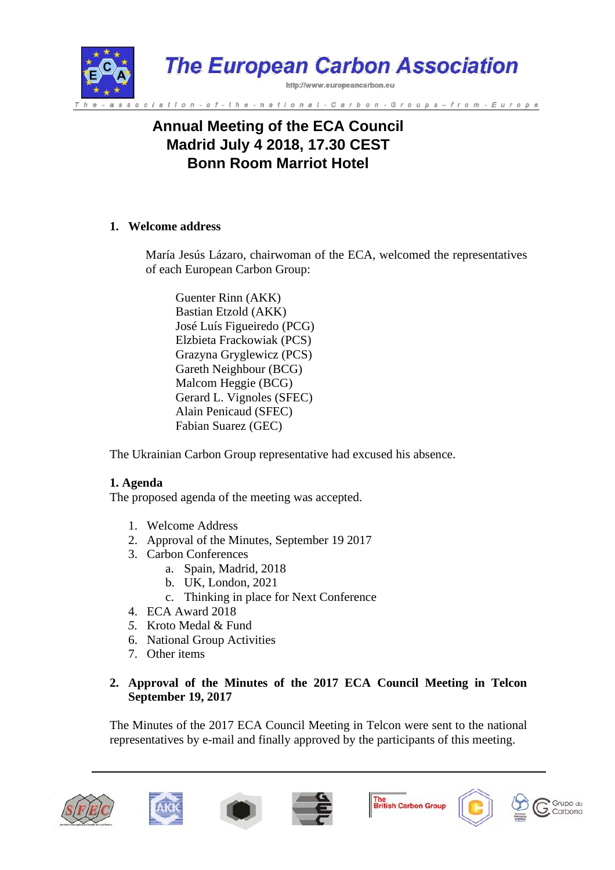

# **Annual Meeting of the ECA Council Madrid July 4 2018, 17.30 CEST Bonn Room Marriot Hotel**

### **1. Welcome address**

María Jesús Lázaro, chairwoman of the ECA, welcomed the representatives of each European Carbon Group:

Guenter Rinn (AKK) Bastian Etzold (AKK) José Luís Figueiredo (PCG) Elzbieta Frackowiak (PCS) Grazyna Gryglewicz (PCS) Gareth Neighbour (BCG) Malcom Heggie (BCG) Gerard L. Vignoles (SFEC) Alain Penicaud (SFEC) Fabian Suarez (GEC)

The Ukrainian Carbon Group representative had excused his absence.

### **1. Agenda**

The proposed agenda of the meeting was accepted.

- 1. Welcome Address
- 2. Approval of the Minutes, September 19 2017
- 3. Carbon Conferences
	- a. Spain, Madrid, 2018
	- b. UK, London, 2021
	- c. Thinking in place for Next Conference
- 4. ECA Award 2018
- *5.* Kroto Medal & Fund
- 6. National Group Activities
- 7. Other items

# **2. Approval of the Minutes of the 2017 ECA Council Meeting in Telcon September 19, 2017**

The Minutes of the 2017 ECA Council Meeting in Telcon were sent to the national representatives by e-mail and finally approved by the participants of this meeting.











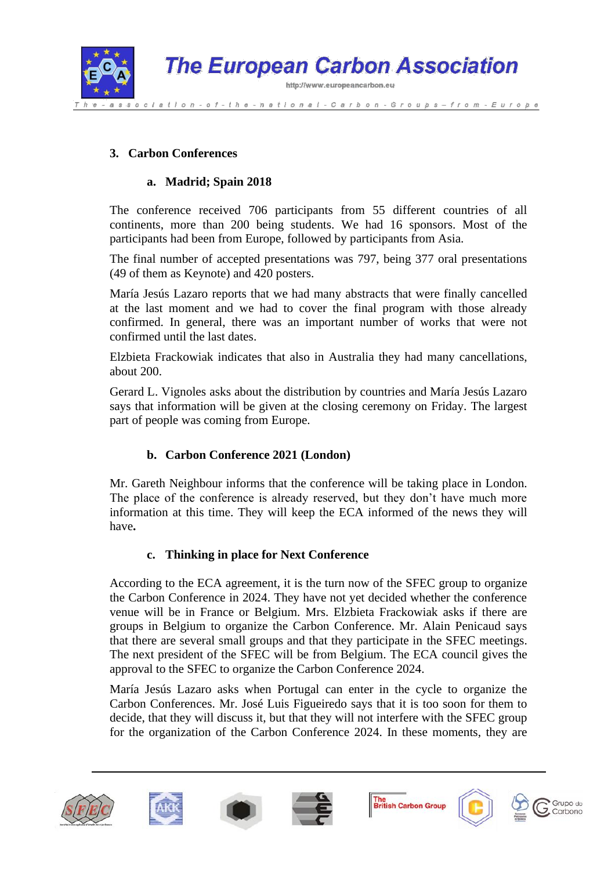

## **3. Carbon Conferences**

## **a. Madrid; Spain 2018**

The conference received 706 participants from 55 different countries of all continents, more than 200 being students. We had 16 sponsors. Most of the participants had been from Europe, followed by participants from Asia.

The final number of accepted presentations was 797, being 377 oral presentations (49 of them as Keynote) and 420 posters.

María Jesús Lazaro reports that we had many abstracts that were finally cancelled at the last moment and we had to cover the final program with those already confirmed. In general, there was an important number of works that were not confirmed until the last dates.

Elzbieta Frackowiak indicates that also in Australia they had many cancellations, about 200.

Gerard L. Vignoles asks about the distribution by countries and María Jesús Lazaro says that information will be given at the closing ceremony on Friday. The largest part of people was coming from Europe.

# **b. Carbon Conference 2021 (London)**

Mr. Gareth Neighbour informs that the conference will be taking place in London. The place of the conference is already reserved, but they don't have much more information at this time. They will keep the ECA informed of the news they will have**.**

### **c. Thinking in place for Next Conference**

According to the ECA agreement, it is the turn now of the SFEC group to organize the Carbon Conference in 2024. They have not yet decided whether the conference venue will be in France or Belgium. Mrs. Elzbieta Frackowiak asks if there are groups in Belgium to organize the Carbon Conference. Mr. Alain Penicaud says that there are several small groups and that they participate in the SFEC meetings. The next president of the SFEC will be from Belgium. The ECA council gives the approval to the SFEC to organize the Carbon Conference 2024.

María Jesús Lazaro asks when Portugal can enter in the cycle to organize the Carbon Conferences. Mr. José Luis Figueiredo says that it is too soon for them to decide, that they will discuss it, but that they will not interfere with the SFEC group for the organization of the Carbon Conference 2024. In these moments, they are











Grupo do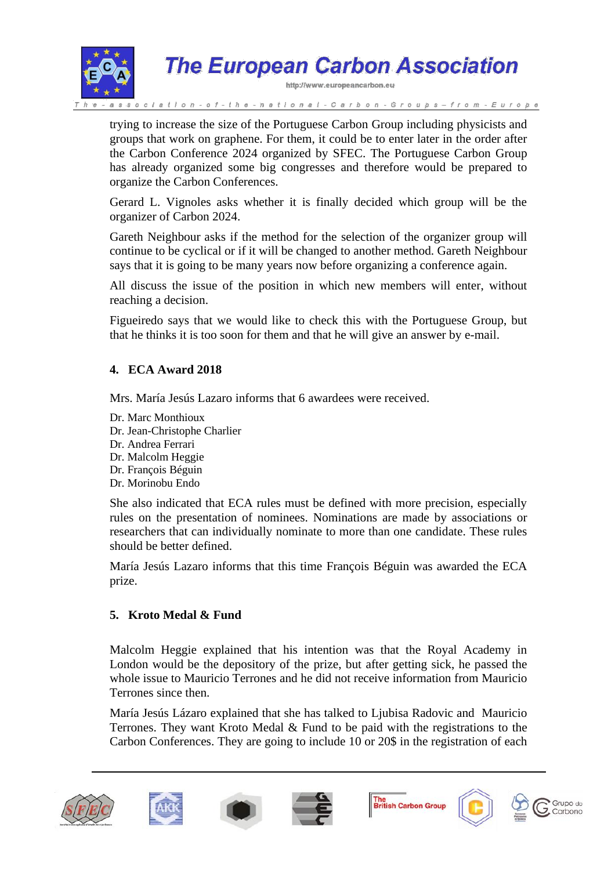

trying to increase the size of the Portuguese Carbon Group including physicists and groups that work on graphene. For them, it could be to enter later in the order after the Carbon Conference 2024 organized by SFEC. The Portuguese Carbon Group has already organized some big congresses and therefore would be prepared to organize the Carbon Conferences.

Gerard L. Vignoles asks whether it is finally decided which group will be the organizer of Carbon 2024.

Gareth Neighbour asks if the method for the selection of the organizer group will continue to be cyclical or if it will be changed to another method. Gareth Neighbour says that it is going to be many years now before organizing a conference again.

All discuss the issue of the position in which new members will enter, without reaching a decision.

Figueiredo says that we would like to check this with the Portuguese Group, but that he thinks it is too soon for them and that he will give an answer by e-mail.

### **4. ECA Award 2018**

Mrs. María Jesús Lazaro informs that 6 awardees were received.

Dr. Marc Monthioux Dr. Jean-Christophe Charlier Dr. Andrea Ferrari Dr. Malcolm Heggie Dr. François Béguin Dr. Morinobu Endo

She also indicated that ECA rules must be defined with more precision, especially rules on the presentation of nominees. Nominations are made by associations or researchers that can individually nominate to more than one candidate. These rules should be better defined.

María Jesús Lazaro informs that this time François Béguin was awarded the ECA prize.

### **5. Kroto Medal & Fund**

Malcolm Heggie explained that his intention was that the Royal Academy in London would be the depository of the prize, but after getting sick, he passed the whole issue to Mauricio Terrones and he did not receive information from Mauricio Terrones since then.

María Jesús Lázaro explained that she has talked to Ljubisa Radovic and Mauricio Terrones. They want Kroto Medal & Fund to be paid with the registrations to the Carbon Conferences. They are going to include 10 or 20\$ in the registration of each











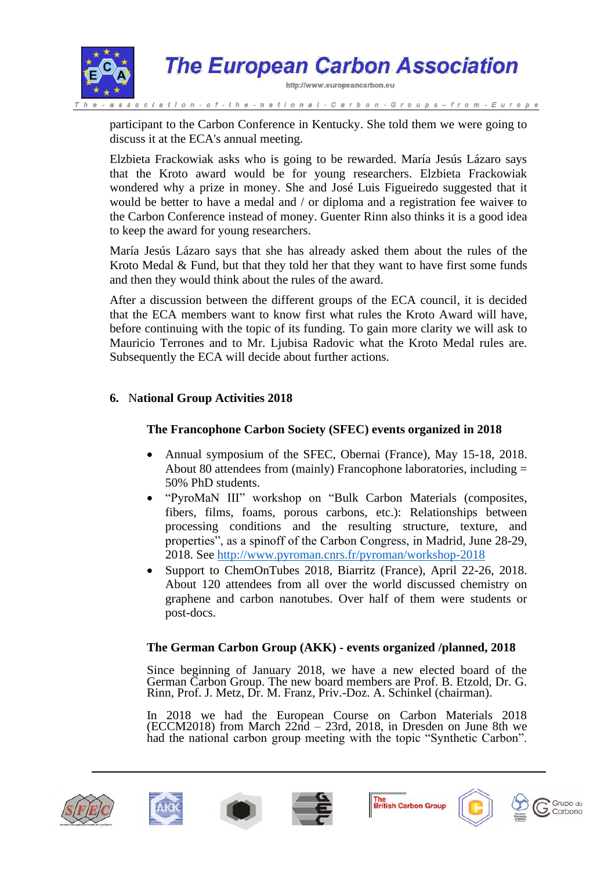

participant to the Carbon Conference in Kentucky. She told them we were going to discuss it at the ECA's annual meeting.

Elzbieta Frackowiak asks who is going to be rewarded. María Jesús Lázaro says that the Kroto award would be for young researchers. Elzbieta Frackowiak wondered why a prize in money. She and José Luis Figueiredo suggested that it would be better to have a medal and / or diploma and a registration fee waiver to the Carbon Conference instead of money. Guenter Rinn also thinks it is a good idea to keep the award for young researchers.

María Jesús Lázaro says that she has already asked them about the rules of the Kroto Medal & Fund, but that they told her that they want to have first some funds and then they would think about the rules of the award.

After a discussion between the different groups of the ECA council, it is decided that the ECA members want to know first what rules the Kroto Award will have, before continuing with the topic of its funding. To gain more clarity we will ask to Mauricio Terrones and to Mr. Ljubisa Radovic what the Kroto Medal rules are. Subsequently the ECA will decide about further actions.

# **6.** N**ational Group Activities 2018**

### **The Francophone Carbon Society (SFEC) events organized in 2018**

- Annual symposium of the SFEC, Obernai (France), May 15-18, 2018. About 80 attendees from (mainly) Francophone laboratories, including = 50% PhD students.
- "PyroMaN III" workshop on "Bulk Carbon Materials (composites, fibers, films, foams, porous carbons, etc.): Relationships between processing conditions and the resulting structure, texture, and properties", as a spinoff of the Carbon Congress, in Madrid, June 28-29, 2018. See<http://www.pyroman.cnrs.fr/pyroman/workshop-2018>
- Support to ChemOnTubes 2018, Biarritz (France), April 22-26, 2018. About 120 attendees from all over the world discussed chemistry on graphene and carbon nanotubes. Over half of them were students or post-docs.

### **The German Carbon Group (AKK) - events organized /planned, 2018**

Since beginning of January 2018, we have a new elected board of the German Carbon Group. The new board members are Prof. B. Etzold, Dr. G. Rinn, Prof. J. Metz, Dr. M. Franz, Priv.-Doz. A. Schinkel (chairman).

In 2018 we had the European Course on Carbon Materials 2018 (ECCM2018) from March 22nd – 23rd, 2018, in Dresden on June 8th we had the national carbon group meeting with the topic "Synthetic Carbon".







The<br>British Carbon Group



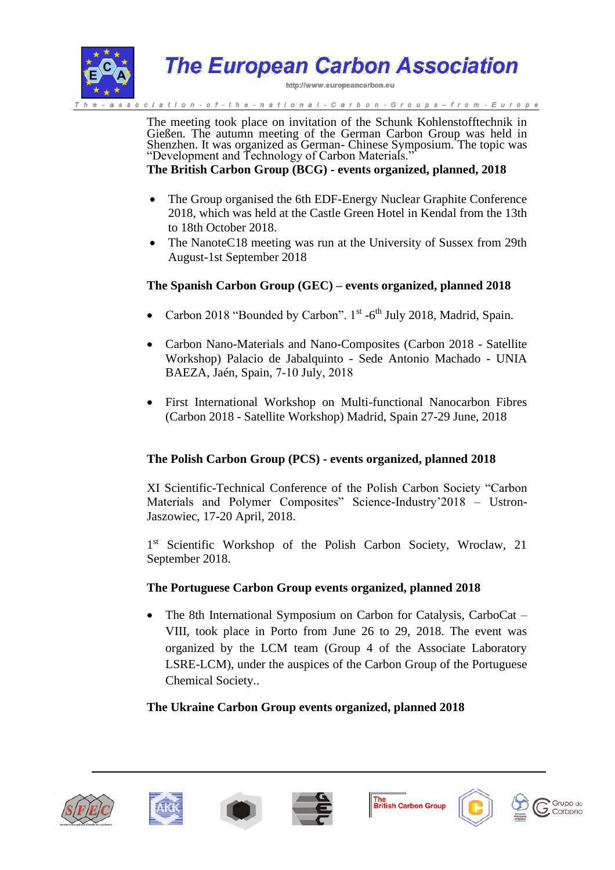

**The European Carbon Association** 

http://www.europeancarbon.eu

the - national - Carbon - Groups – from - Europe

The meeting took place on invitation of the Schunk Kohlenstofftechnik in Gießen. The autumn meeting of the German Carbon Group was held in Shenzhen. It was organized as German- Chinese Symposium. The topic was "Development and Technology of Carbon Materials."

**The British Carbon Group (BCG) - events organized, planned, 2018**

- The Group organised the 6th EDF-Energy Nuclear Graphite Conference 2018, which was held at the Castle Green Hotel in Kendal from the 13th to 18th October 2018.
- The NanoteC18 meeting was run at the University of Sussex from 29th August-1st September 2018

#### **The Spanish Carbon Group (GEC) – events organized, planned 2018**

- Carbon 2018 "Bounded by Carbon". 1<sup>st</sup> -6<sup>th</sup> July 2018, Madrid, Spain.
- Carbon Nano-Materials and Nano-Composites (Carbon 2018 Satellite Workshop) Palacio de Jabalquinto - Sede Antonio Machado - UNIA BAEZA, Jaén, Spain, 7‐10 July, 2018
- First International Workshop on Multi-functional Nanocarbon Fibres (Carbon 2018 - Satellite Workshop) Madrid, Spain 27-29 June, 2018

### **The Polish Carbon Group (PCS) - events organized, planned 2018**

XI Scientific-Technical Conference of the Polish Carbon Society "Carbon Materials and Polymer Composites" Science-Industry'2018 – Ustron-Jaszowiec, 17-20 April, 2018.

1<sup>st</sup> Scientific Workshop of the Polish Carbon Society, Wroclaw, 21 September 2018.

#### **The Portuguese Carbon Group events organized, planned 2018**

• The 8th International Symposium on Carbon for Catalysis, CarboCat – VIII, took place in Porto from June 26 to 29, 2018. The event was organized by the LCM team (Group 4 of the Associate Laboratory LSRE-LCM), under the auspices of the Carbon Group of the Portuguese Chemical Society..

#### **The Ukraine Carbon Group events organized, planned 2018**













Grupo do